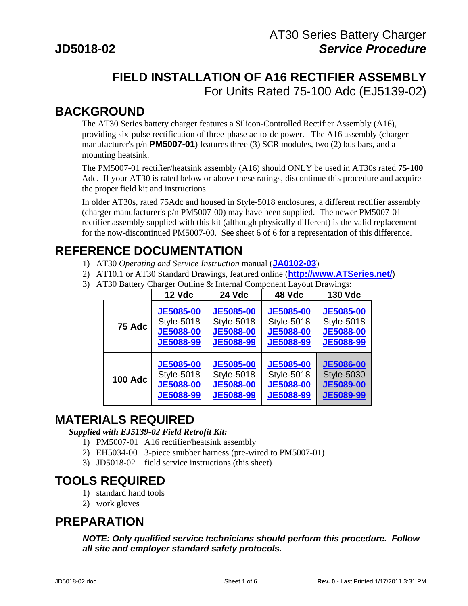# **FIELD INSTALLATION OF A16 RECTIFIER ASSEMBLY**  For Units Rated 75-100 Adc (EJ5139-02)

#### **BACKGROUND**

The AT30 Series battery charger features a Silicon-Controlled Rectifier Assembly (A16), providing six-pulse rectification of three-phase ac-to-dc power. The A16 assembly (charger manufacturer's p/n **PM5007-01**) features three (3) SCR modules, two (2) bus bars, and a mounting heatsink.

The PM5007-01 rectifier/heatsink assembly (A16) should ONLY be used in AT30s rated **75-100** Adc. If your AT30 is rated below or above these ratings, discontinue this procedure and acquire the proper field kit and instructions.

In older AT30s, rated 75Adc and housed in Style-5018 enclosures, a different rectifier assembly (charger manufacturer's p/n PM5007-00) may have been supplied. The newer PM5007-01 rectifier assembly supplied with this kit (although physically different) is the valid replacement for the now-discontinued PM5007-00. See sheet 6 of 6 for a representation of this difference.

#### **REFERENCE DOCUMENTATION**

- 1) AT30 *Operating and Service Instruction* manual (**[JA0102-03](http://www.atseries.net/PDFs/JA0102-03.pdf)**)
- 2) AT10.1 or AT30 Standard Drawings, featured online (**[http://www.ATSeries.net/](http://www.atseries.net/)**)
- 3) AT30 Battery Charger Outline & Internal Component Layout Drawings:

|                | 12 Vdc            | <b>24 Vdc</b>    | 48 Vdc            | <b>130 Vdc</b>    |
|----------------|-------------------|------------------|-------------------|-------------------|
| 75 Adc         | <b>JE5085-00</b>  | <b>JE5085-00</b> | <b>JE5085-00</b>  | <b>JE5085-00</b>  |
|                | <b>Style-5018</b> | Style-5018       | <b>Style-5018</b> | <b>Style-5018</b> |
|                | <b>JE5088-00</b>  | <b>JE5088-00</b> | <b>JE5088-00</b>  | <b>JE5088-00</b>  |
|                | <b>JE5088-99</b>  | JE5088-99        | <b>JE5088-99</b>  | <b>JE5088-99</b>  |
| <b>100 Adc</b> | <b>JE5085-00</b>  | <b>JE5085-00</b> | <b>JE5085-00</b>  | <b>JE5086-00</b>  |
|                | <b>Style-5018</b> | Style-5018       | <b>Style-5018</b> | <b>Style-5030</b> |
|                | <b>JE5088-00</b>  | <b>JE5088-00</b> | <b>JE5088-00</b>  | <b>JE5089-00</b>  |
|                | <b>JE5088-99</b>  | <b>JE5088-99</b> | <b>JE5088-99</b>  | <b>JE5089-99</b>  |

### **MATERIALS REQUIRED**

#### *Supplied with EJ5139-02 Field Retrofit Kit:*

- 1) PM5007-01 A16 rectifier/heatsink assembly
- 2) EH5034-00 3-piece snubber harness (pre-wired to PM5007-01)
- 3) JD5018-02 field service instructions (this sheet)

### **TOOLS REQUIRED**

- 1) standard hand tools
- 2) work gloves

### **PREPARATION**

*NOTE: Only qualified service technicians should perform this procedure. Follow all site and employer standard safety protocols.*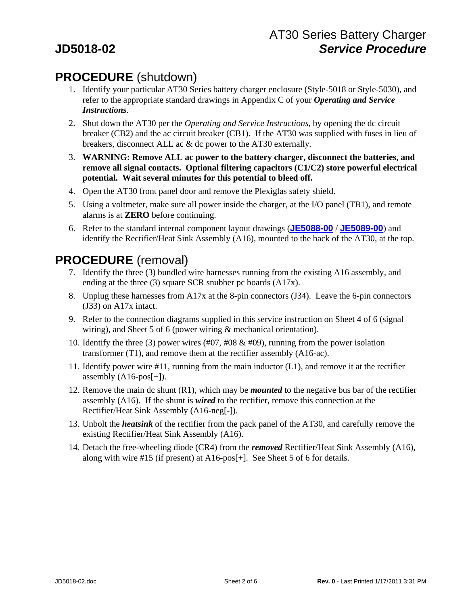# **PROCEDURE** (shutdown)

- 1. Identify your particular AT30 Series battery charger enclosure (Style-5018 or Style-5030), and refer to the appropriate standard drawings in Appendix C of your *Operating and Service Instructions*.
- 2. Shut down the AT30 per the *Operating and Service Instructions*, by opening the dc circuit breaker (CB2) and the ac circuit breaker (CB1). If the AT30 was supplied with fuses in lieu of breakers, disconnect ALL ac & dc power to the AT30 externally.
- 3. **WARNING: Remove ALL ac power to the battery charger, disconnect the batteries, and remove all signal contacts. Optional filtering capacitors (C1/C2) store powerful electrical potential. Wait several minutes for this potential to bleed off.**
- 4. Open the AT30 front panel door and remove the Plexiglas safety shield.
- 5. Using a voltmeter, make sure all power inside the charger, at the I/O panel (TB1), and remote alarms is at **ZERO** before continuing.
- 6. Refer to the standard internal component layout drawings (**[JE5088-00](http://www.atseries.net/PDFs/JE5088-00.pdf)** / **[JE5089-00](http://www.atseries.net/PDFs/JE5089-00.pdf)**) and identify the Rectifier/Heat Sink Assembly (A16), mounted to the back of the AT30, at the top.

# **PROCEDURE** (removal)

- 7. Identify the three (3) bundled wire harnesses running from the existing A16 assembly, and ending at the three (3) square SCR snubber pc boards (A17x).
- 8. Unplug these harnesses from A17x at the 8-pin connectors (J34). Leave the 6-pin connectors (J33) on A17x intact.
- 9. Refer to the connection diagrams supplied in this service instruction on Sheet 4 of 6 (signal wiring), and Sheet 5 of 6 (power wiring  $\&$  mechanical orientation).
- 10. Identify the three (3) power wires (#07, #08 & #09), running from the power isolation transformer (T1), and remove them at the rectifier assembly (A16-ac).
- 11. Identify power wire #11, running from the main inductor (L1), and remove it at the rectifier assembly  $(A16-pos[+]$ .
- 12. Remove the main dc shunt (R1), which may be *mounted* to the negative bus bar of the rectifier assembly (A16). If the shunt is *wired* to the rectifier, remove this connection at the Rectifier/Heat Sink Assembly (A16-neg[-]).
- 13. Unbolt the *heatsink* of the rectifier from the pack panel of the AT30, and carefully remove the existing Rectifier/Heat Sink Assembly (A16).
- 14. Detach the free-wheeling diode (CR4) from the *removed* Rectifier/Heat Sink Assembly (A16), along with wire #15 (if present) at A16-pos[+]. See Sheet 5 of 6 for details.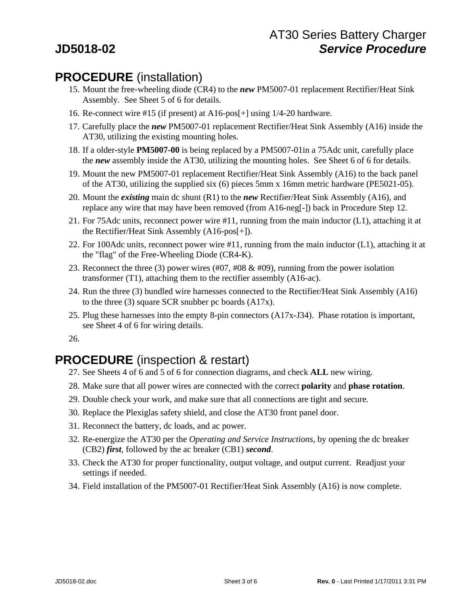# **PROCEDURE** (installation)

- 15. Mount the free-wheeling diode (CR4) to the *new* PM5007-01 replacement Rectifier/Heat Sink Assembly. See Sheet 5 of 6 for details.
- 16. Re-connect wire #15 (if present) at A16-pos[+] using 1/4-20 hardware.
- 17. Carefully place the *new* PM5007-01 replacement Rectifier/Heat Sink Assembly (A16) inside the AT30, utilizing the existing mounting holes.
- 18. If a older-style **PM5007-00** is being replaced by a PM5007-01in a 75Adc unit, carefully place the *new* assembly inside the AT30, utilizing the mounting holes. See Sheet 6 of 6 for details.
- 19. Mount the new PM5007-01 replacement Rectifier/Heat Sink Assembly (A16) to the back panel of the AT30, utilizing the supplied six (6) pieces 5mm x 16mm metric hardware (PE5021-05).
- 20. Mount the *existing* main dc shunt (R1) to the *new* Rectifier/Heat Sink Assembly (A16), and replace any wire that may have been removed (from A16-neg[-]) back in Procedure Step 12.
- 21. For 75Adc units, reconnect power wire #11, running from the main inductor (L1), attaching it at the Rectifier/Heat Sink Assembly (A16-pos[+]).
- 22. For 100Adc units, reconnect power wire #11, running from the main inductor (L1), attaching it at the "flag" of the Free-Wheeling Diode (CR4-K).
- 23. Reconnect the three (3) power wires (#07, #08  $\&$  #09), running from the power isolation transformer (T1), attaching them to the rectifier assembly (A16-ac).
- 24. Run the three (3) bundled wire harnesses connected to the Rectifier/Heat Sink Assembly (A16) to the three (3) square SCR snubber pc boards (A17x).
- 25. Plug these harnesses into the empty 8-pin connectors (A17x-J34). Phase rotation is important, see Sheet 4 of 6 for wiring details.

26.

# **PROCEDURE** (inspection & restart)

- 27. See Sheets 4 of 6 and 5 of 6 for connection diagrams, and check **ALL** new wiring.
- 28. Make sure that all power wires are connected with the correct **polarity** and **phase rotation**.
- 29. Double check your work, and make sure that all connections are tight and secure.
- 30. Replace the Plexiglas safety shield, and close the AT30 front panel door.
- 31. Reconnect the battery, dc loads, and ac power.
- 32. Re-energize the AT30 per the *Operating and Service Instructions*, by opening the dc breaker (CB2) *first*, followed by the ac breaker (CB1) *second*.
- 33. Check the AT30 for proper functionality, output voltage, and output current. Readjust your settings if needed.
- 34. Field installation of the PM5007-01 Rectifier/Heat Sink Assembly (A16) is now complete.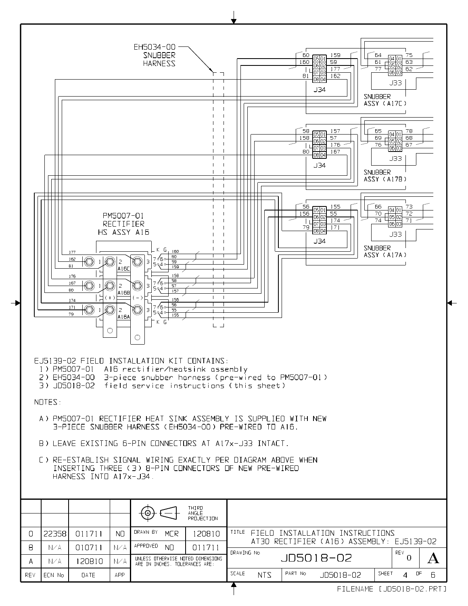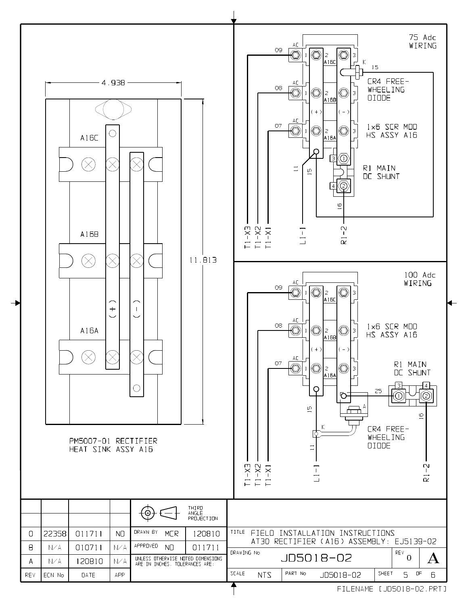